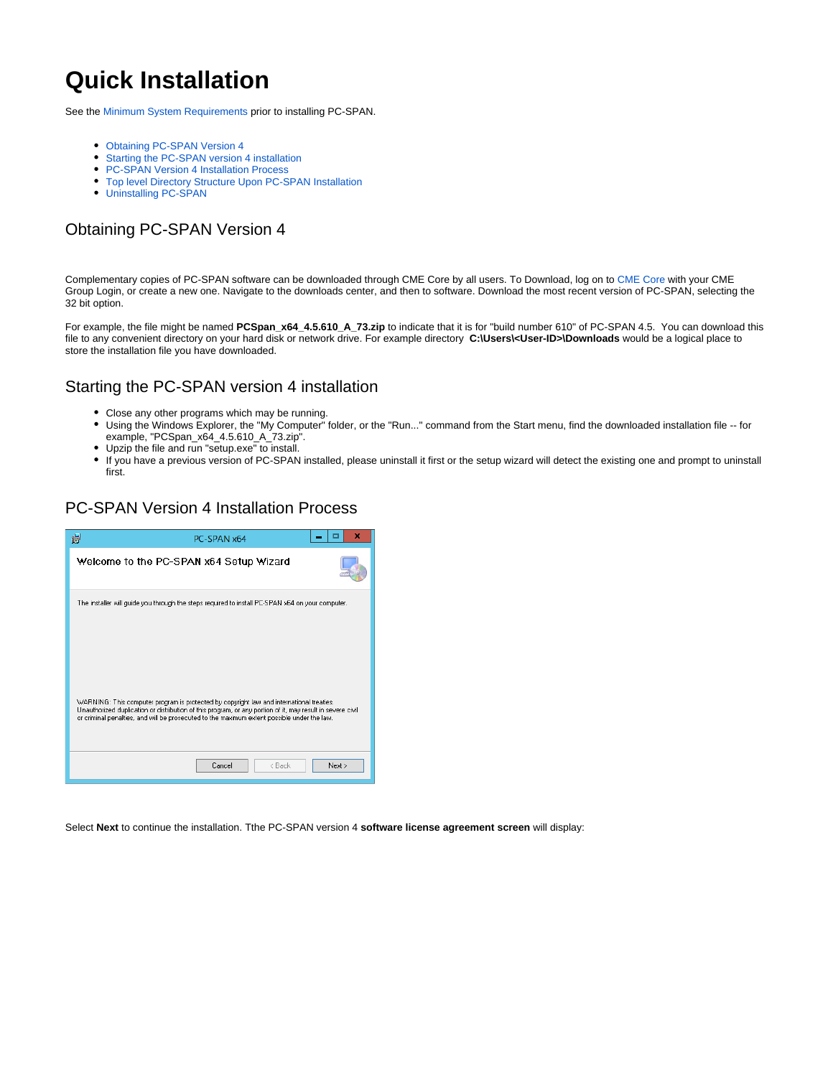# **Quick Installation**

See the [Minimum System Requirements](https://www.cmegroup.com/confluence/display/pubspan/System+Requirements) prior to installing PC-SPAN.

- [Obtaining PC-SPAN Version 4](#page-0-0)
- $\bullet$ [Starting the PC-SPAN version 4 installation](#page-0-1)
- [PC-SPAN Version 4 Installation Process](#page-0-2)
- [Top level Directory Structure Upon PC-SPAN Installation](#page-2-0)
- [Uninstalling PC-SPAN](#page-2-1)

## <span id="page-0-0"></span>Obtaining PC-SPAN Version 4

Complementary copies of PC-SPAN software can be downloaded through CME Core by all users. To Download, log on to [CME Core](https://cmecore.cmegroup.com/core/) with your CME Group Login, or create a new one. Navigate to the downloads center, and then to software. Download the most recent version of PC-SPAN, selecting the 32 bit option.

For example, the file might be named **PCSpan\_x64\_4.5.610\_A\_73.zip** to indicate that it is for "build number 610" of PC-SPAN 4.5. You can download this file to any convenient directory on your hard disk or network drive. For example directory **C:\Users\<User-ID>\Downloads** would be a logical place to store the installation file you have downloaded.

#### <span id="page-0-1"></span>Starting the PC-SPAN version 4 installation

- Close any other programs which may be running.
- Using the Windows Explorer, the "My Computer" folder, or the "Run..." command from the Start menu, find the downloaded installation file -- for example, "PCSpan\_x64\_4.5.610\_A\_73.zip".
- Upzip the file and run "setup.exe" to install.
- If you have a previous version of PC-SPAN installed, please uninstall it first or the setup wizard will detect the existing one and prompt to uninstall first.

#### <span id="page-0-2"></span>PC-SPAN Version 4 Installation Process

| ×<br>脚<br>PC-SPAN x64                                                                                                                                                                                                                                                                                 |
|-------------------------------------------------------------------------------------------------------------------------------------------------------------------------------------------------------------------------------------------------------------------------------------------------------|
| Welcome to the PC-SPAN x64 Setup Wizard                                                                                                                                                                                                                                                               |
| The installer will guide you through the steps required to install PC-SPAN x64 on your computer.                                                                                                                                                                                                      |
| WARNING: This computer program is protected by copyright law and international treaties.<br>Unauthorized duplication or distribution of this program, or any portion of it, may result in severe civil<br>or criminal penalties, and will be prosecuted to the maximum extent possible under the law. |
| < Back<br>Next ><br>Cancel                                                                                                                                                                                                                                                                            |

Select **Next** to continue the installation. Tthe PC-SPAN version 4 **software license agreement screen** will display: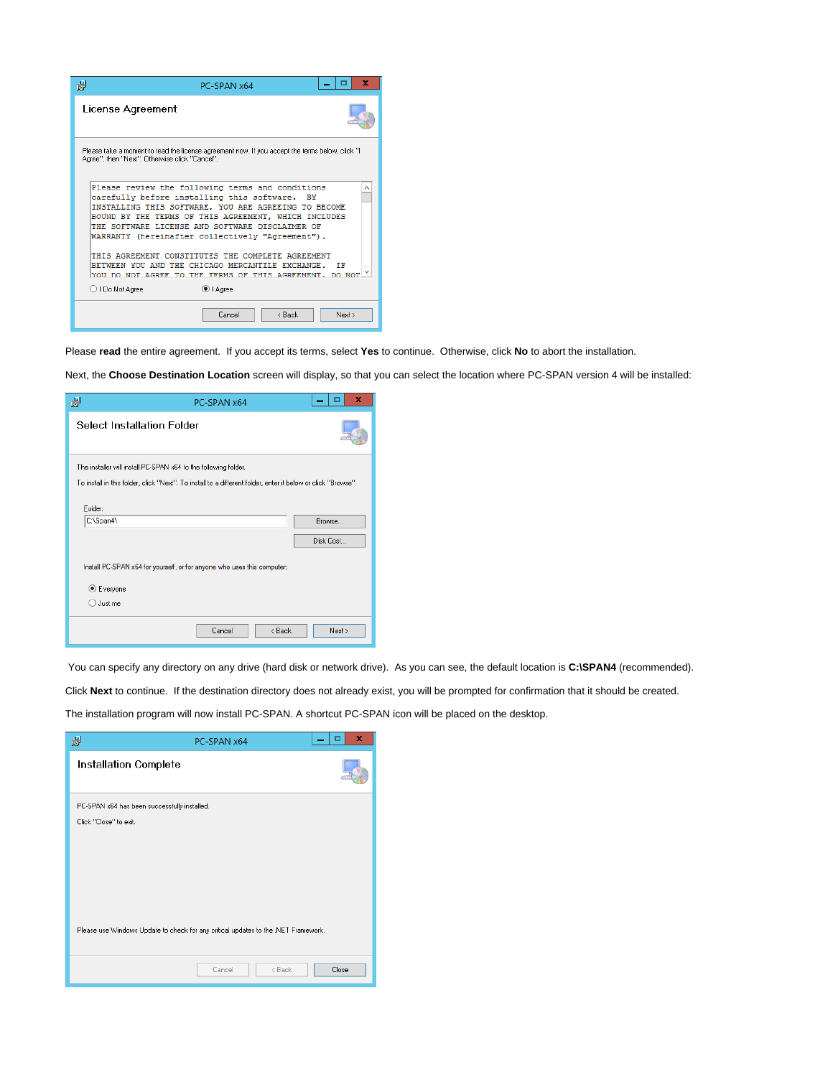

Please **read** the entire agreement. If you accept its terms, select **Yes** to continue. Otherwise, click **No** to abort the installation.

Next, the **Choose Destination Location** screen will display, so that you can select the location where PC-SPAN version 4 will be installed:

| 谩<br>PC-SPAN x64                                                                                             | ×         |
|--------------------------------------------------------------------------------------------------------------|-----------|
| <b>Select Installation Folder</b>                                                                            |           |
| The installer will install PC-SPAN x64 to the following folder.                                              |           |
| To install in this folder, click "Next". To install to a different folder, enter it below or click "Browse". |           |
| Folder:                                                                                                      |           |
| C:\Span4\                                                                                                    | Browse    |
|                                                                                                              | Disk Cost |
| Install PC-SPAN x64 for yourself, or for anyone who uses this computer:                                      |           |
| <b>●</b> Everyone                                                                                            |           |
| $\bigcirc$ Just me                                                                                           |           |
| < Back<br>Cancel                                                                                             | Next >    |

You can specify any directory on any drive (hard disk or network drive). As you can see, the default location is C:**\SPAN4** (recommended).

Click **Next** to continue. If the destination directory does not already exist, you will be prompted for confirmation that it should be created.

The installation program will now install PC-SPAN. A shortcut PC-SPAN icon will be placed on the desktop.

| 谩                                                                                  | PC-SPAN x64 |        | ▫     | × |
|------------------------------------------------------------------------------------|-------------|--------|-------|---|
| Installation Complete                                                              |             |        |       |   |
| PC-SPAN x64 has been successfully installed.<br>Click "Close" to exit.             |             |        |       |   |
| Please use Windows Update to check for any critical updates to the .NET Framework. |             |        |       |   |
|                                                                                    | Cancel      | < Back | Close |   |